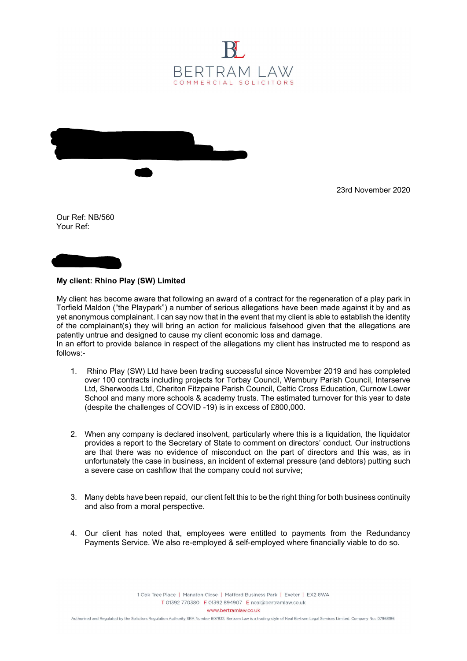



23rd November 2020

Our Ref: NB/560 Your Ref:



## My client: Rhino Play (SW) Limited

My client has become aware that following an award of a contract for the regeneration of a play park in Torfield Maldon ("the Playpark") a number of serious allegations have been made against it by and as yet anonymous complainant. I can say now that in the event that my client is able to establish the identity of the complainant(s) they will bring an action for malicious falsehood given that the allegations are patently untrue and designed to cause my client economic loss and damage.

In an effort to provide balance in respect of the allegations my client has instructed me to respond as follows:-

- 1. Rhino Play (SW) Ltd have been trading successful since November 2019 and has completed over 100 contracts including projects for Torbay Council, Wembury Parish Council, Interserve Ltd, Sherwoods Ltd, Cheriton Fitzpaine Parish Council, Celtic Cross Education, Curnow Lower School and many more schools & academy trusts. The estimated turnover for this year to date (despite the challenges of COVID -19) is in excess of £800,000.
- 2. When any company is declared insolvent, particularly where this is a liquidation, the liquidator provides a report to the Secretary of State to comment on directors' conduct. Our instructions are that there was no evidence of misconduct on the part of directors and this was, as in unfortunately the case in business, an incident of external pressure (and debtors) putting such a severe case on cashflow that the company could not survive;
- 3. Many debts have been repaid, our client felt this to be the right thing for both business continuity and also from a moral perspective.
- 4. Our client has noted that, employees were entitled to payments from the Redundancy Payments Service. We also re-employed & self-employed where financially viable to do so.